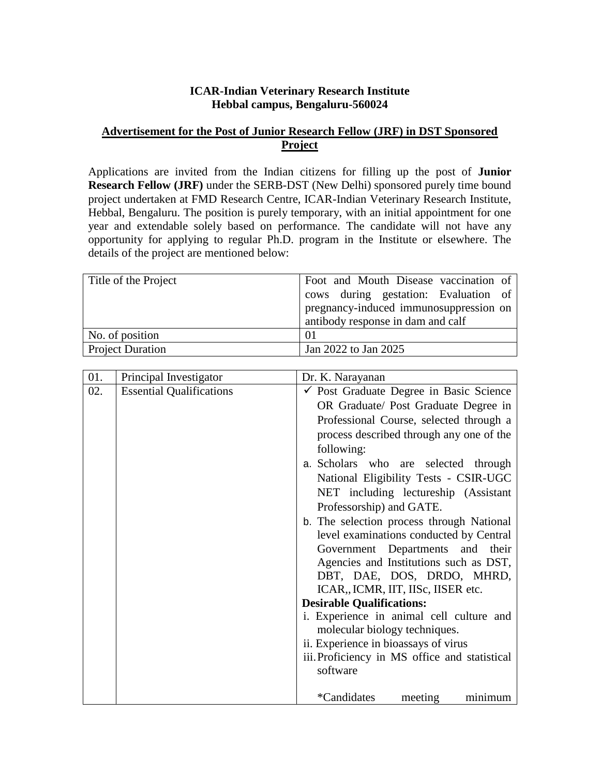# **ICAR-Indian Veterinary Research Institute Hebbal campus, Bengaluru-560024**

# **Advertisement for the Post of Junior Research Fellow (JRF) in DST Sponsored Project**

Applications are invited from the Indian citizens for filling up the post of **Junior Research Fellow (JRF)** under the SERB-DST (New Delhi) sponsored purely time bound project undertaken at FMD Research Centre, ICAR-Indian Veterinary Research Institute, Hebbal, Bengaluru. The position is purely temporary, with an initial appointment for one year and extendable solely based on performance. The candidate will not have any opportunity for applying to regular Ph.D. program in the Institute or elsewhere. The details of the project are mentioned below:

| Title of the Project    | Foot and Mouth Disease vaccination of  |  |  |  |  |  |
|-------------------------|----------------------------------------|--|--|--|--|--|
|                         | cows during gestation: Evaluation of   |  |  |  |  |  |
|                         | pregnancy-induced immunosuppression on |  |  |  |  |  |
|                         | antibody response in dam and calf      |  |  |  |  |  |
| No. of position         | $\Omega$                               |  |  |  |  |  |
| <b>Project Duration</b> | Jan 2022 to Jan 2025                   |  |  |  |  |  |

| 01. | Principal Investigator          | Dr. K. Narayanan                                   |  |  |  |  |  |
|-----|---------------------------------|----------------------------------------------------|--|--|--|--|--|
| 02. | <b>Essential Qualifications</b> | $\checkmark$ Post Graduate Degree in Basic Science |  |  |  |  |  |
|     |                                 | OR Graduate/ Post Graduate Degree in               |  |  |  |  |  |
|     |                                 | Professional Course, selected through a            |  |  |  |  |  |
|     |                                 | process described through any one of the           |  |  |  |  |  |
|     |                                 | following:                                         |  |  |  |  |  |
|     |                                 | a. Scholars who are selected through               |  |  |  |  |  |
|     |                                 | National Eligibility Tests - CSIR-UGC              |  |  |  |  |  |
|     |                                 | NET including lectureship (Assistant               |  |  |  |  |  |
|     |                                 | Professorship) and GATE.                           |  |  |  |  |  |
|     |                                 | b. The selection process through National          |  |  |  |  |  |
|     |                                 | level examinations conducted by Central            |  |  |  |  |  |
|     |                                 | Government Departments and their                   |  |  |  |  |  |
|     |                                 | Agencies and Institutions such as DST,             |  |  |  |  |  |
|     |                                 | DBT, DAE, DOS, DRDO, MHRD,                         |  |  |  |  |  |
|     |                                 | ICAR, ICMR, IIT, IISc, IISER etc.                  |  |  |  |  |  |
|     |                                 | <b>Desirable Qualifications:</b>                   |  |  |  |  |  |
|     |                                 | i. Experience in animal cell culture and           |  |  |  |  |  |
|     |                                 | molecular biology techniques.                      |  |  |  |  |  |
|     |                                 | ii. Experience in bioassays of virus               |  |  |  |  |  |
|     |                                 | iii. Proficiency in MS office and statistical      |  |  |  |  |  |
|     |                                 | software                                           |  |  |  |  |  |
|     |                                 |                                                    |  |  |  |  |  |
|     |                                 | <i>*</i> Candidates<br>meeting<br>minimum          |  |  |  |  |  |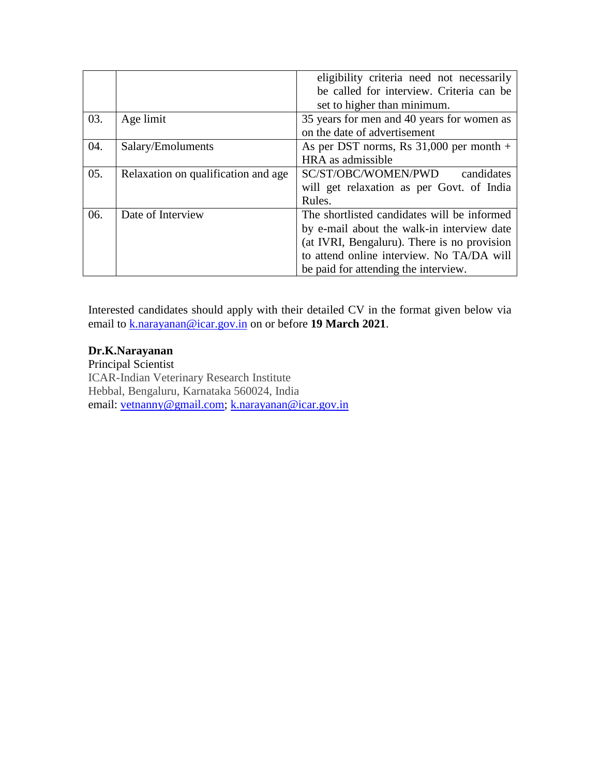|     |                                     | eligibility criteria need not necessarily   |  |  |  |  |
|-----|-------------------------------------|---------------------------------------------|--|--|--|--|
|     |                                     | be called for interview. Criteria can be    |  |  |  |  |
|     |                                     | set to higher than minimum.                 |  |  |  |  |
| 03. | Age limit                           | 35 years for men and 40 years for women as  |  |  |  |  |
|     |                                     | on the date of advertisement                |  |  |  |  |
| 04. | Salary/Emoluments                   | As per DST norms, Rs $31,000$ per month +   |  |  |  |  |
|     |                                     | HRA as admissible                           |  |  |  |  |
| 05. | Relaxation on qualification and age | SC/ST/OBC/WOMEN/PWD<br>candidates           |  |  |  |  |
|     |                                     | will get relaxation as per Govt. of India   |  |  |  |  |
|     |                                     | Rules.                                      |  |  |  |  |
| 06. | Date of Interview                   | The shortlisted candidates will be informed |  |  |  |  |
|     |                                     | by e-mail about the walk-in interview date  |  |  |  |  |
|     |                                     | (at IVRI, Bengaluru). There is no provision |  |  |  |  |
|     |                                     | to attend online interview. No TA/DA will   |  |  |  |  |
|     |                                     | be paid for attending the interview.        |  |  |  |  |

Interested candidates should apply with their detailed CV in the format given below via email to k.narayanan@icar.gov.in on or before **19 March 2021**.

## **Dr.K.Narayanan**

Principal Scientist ICAR-Indian Veterinary Research Institute Hebbal, Bengaluru, Karnataka 560024, India email: vetnanny@gmail.com; k.narayanan@icar.gov.in